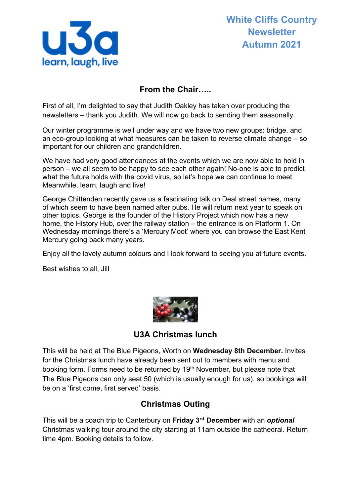

## **From the Chair…..**

First of all, I'm delighted to say that Judith Oakley has taken over producing the newsletters – thank you Judith. We will now go back to sending them seasonally.

Our winter programme is well under way and we have two new groups: bridge, and an eco-group looking at what measures can be taken to reverse climate change – so important for our children and grandchildren.

We have had very good attendances at the events which we are now able to hold in person – we all seem to be happy to see each other again! No-one is able to predict what the future holds with the covid virus, so let's hope we can continue to meet. Meanwhile, learn, laugh and live!

George Chittenden recently gave us a fascinating talk on Deal street names, many of which seem to have been named after pubs. He will return next year to speak on other topics. George is the founder of the History Project which now has a new home, the History Hub, over the railway station – the entrance is on Platform 1. On Wednesday mornings there's a 'Mercury Moot' where you can browse the East Kent Mercury going back many years.

Enjoy all the lovely autumn colours and I look forward to seeing you at future events.

Best wishes to all, Jill



**U3A Christmas lunch**

This will be held at The Blue Pigeons, Worth on **Wednesday 8th December.** Invites for the Christmas lunch have already been sent out to members with menu and booking form. Forms need to be returned by 19<sup>th</sup> November, but please note that The Blue Pigeons can only seat 50 (which is usually enough for us), so bookings will be on a 'first come, first served' basis.

### **Christmas Outing**

This will be a coach trip to Canterbury on **Friday 3rd December** with an *optional*  Christmas walking tour around the city starting at 11am outside the cathedral. Return time 4pm. Booking details to follow.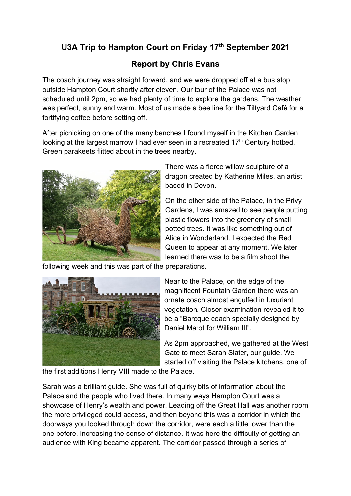# **U3A Trip to Hampton Court on Friday 17th September 2021**

# **Report by Chris Evans**

The coach journey was straight forward, and we were dropped off at a bus stop outside Hampton Court shortly after eleven. Our tour of the Palace was not scheduled until 2pm, so we had plenty of time to explore the gardens. The weather was perfect, sunny and warm. Most of us made a bee line for the Tiltyard Café for a fortifying coffee before setting off.

After picnicking on one of the many benches I found myself in the Kitchen Garden looking at the largest marrow I had ever seen in a recreated 17<sup>th</sup> Century hotbed. Green parakeets flitted about in the trees nearby.



There was a fierce willow sculpture of a dragon created by Katherine Miles, an artist based in Devon.

On the other side of the Palace, in the Privy Gardens, I was amazed to see people putting plastic flowers into the greenery of small potted trees. It was like something out of Alice in Wonderland. I expected the Red Queen to appear at any moment. We later learned there was to be a film shoot the

following week and this was part of the preparations.



Near to the Palace, on the edge of the magnificent Fountain Garden there was an ornate coach almost engulfed in luxuriant vegetation. Closer examination revealed it to be a "Baroque coach specially designed by Daniel Marot for William III".

As 2pm approached, we gathered at the West Gate to meet Sarah Slater, our guide. We started off visiting the Palace kitchens, one of

the first additions Henry VIII made to the Palace.

Sarah was a brilliant guide. She was full of quirky bits of information about the Palace and the people who lived there. In many ways Hampton Court was a showcase of Henry's wealth and power. Leading off the Great Hall was another room the more privileged could access, and then beyond this was a corridor in which the doorways you looked through down the corridor, were each a little lower than the one before, increasing the sense of distance. It was here the difficulty of getting an audience with King became apparent. The corridor passed through a series of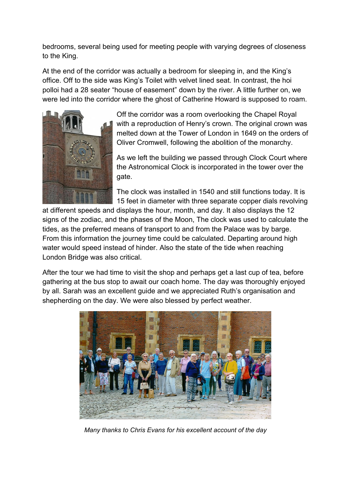bedrooms, several being used for meeting people with varying degrees of closeness to the King.

At the end of the corridor was actually a bedroom for sleeping in, and the King's office. Off to the side was King's Toilet with velvet lined seat. In contrast, the hoi polloi had a 28 seater "house of easement" down by the river. A little further on, we were led into the corridor where the ghost of Catherine Howard is supposed to roam.



Off the corridor was a room overlooking the Chapel Royal with a reproduction of Henry's crown. The original crown was melted down at the Tower of London in 1649 on the orders of Oliver Cromwell, following the abolition of the monarchy.

As we left the building we passed through Clock Court where the Astronomical Clock is incorporated in the tower over the gate.

The clock was installed in 1540 and still functions today. It is 15 feet in diameter with three separate copper dials revolving

at different speeds and displays the hour, month, and day. It also displays the 12 signs of the zodiac, and the phases of the Moon, The clock was used to calculate the tides, as the preferred means of transport to and from the Palace was by barge. From this information the journey time could be calculated. Departing around high water would speed instead of hinder. Also the state of the tide when reaching London Bridge was also critical.

After the tour we had time to visit the shop and perhaps get a last cup of tea, before gathering at the bus stop to await our coach home. The day was thoroughly enjoyed by all. Sarah was an excellent guide and we appreciated Ruth's organisation and shepherding on the day. We were also blessed by perfect weather.



*Many thanks to Chris Evans for his excellent account of the day*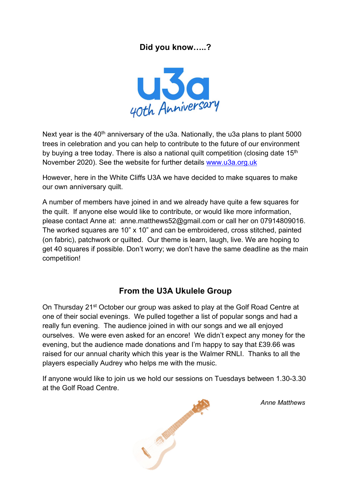# **Did you know…..?**



Next year is the 40<sup>th</sup> anniversary of the u3a. Nationally, the u3a plans to plant 5000 trees in celebration and you can help to contribute to the future of our environment by buying a tree today. There is also a national quilt competition (closing date 15<sup>th</sup>) November 2020). See the website for further details [www.u3a.org.uk](http://www.u3a.org.uk/)

However, here in the White Cliffs U3A we have decided to make squares to make our own anniversary quilt.

A number of members have joined in and we already have quite a few squares for the quilt. If anyone else would like to contribute, or would like more information, please contact Anne at: anne.matthews52@gmail.com or call her on 07914809016. The worked squares are 10" x 10" and can be embroidered, cross stitched, painted (on fabric), patchwork or quilted. Our theme is learn, laugh, live. We are hoping to get 40 squares if possible. Don't worry; we don't have the same deadline as the main competition!

### **From the U3A Ukulele Group**

On Thursday 21st October our group was asked to play at the Golf Road Centre at one of their social evenings. We pulled together a list of popular songs and had a really fun evening. The audience joined in with our songs and we all enjoyed ourselves. We were even asked for an encore! We didn't expect any money for the evening, but the audience made donations and I'm happy to say that £39.66 was raised for our annual charity which this year is the Walmer RNLI. Thanks to all the players especially Audrey who helps me with the music.

If anyone would like to join us we hold our sessions on Tuesdays between 1.30-3.30 at the Golf Road Centre.